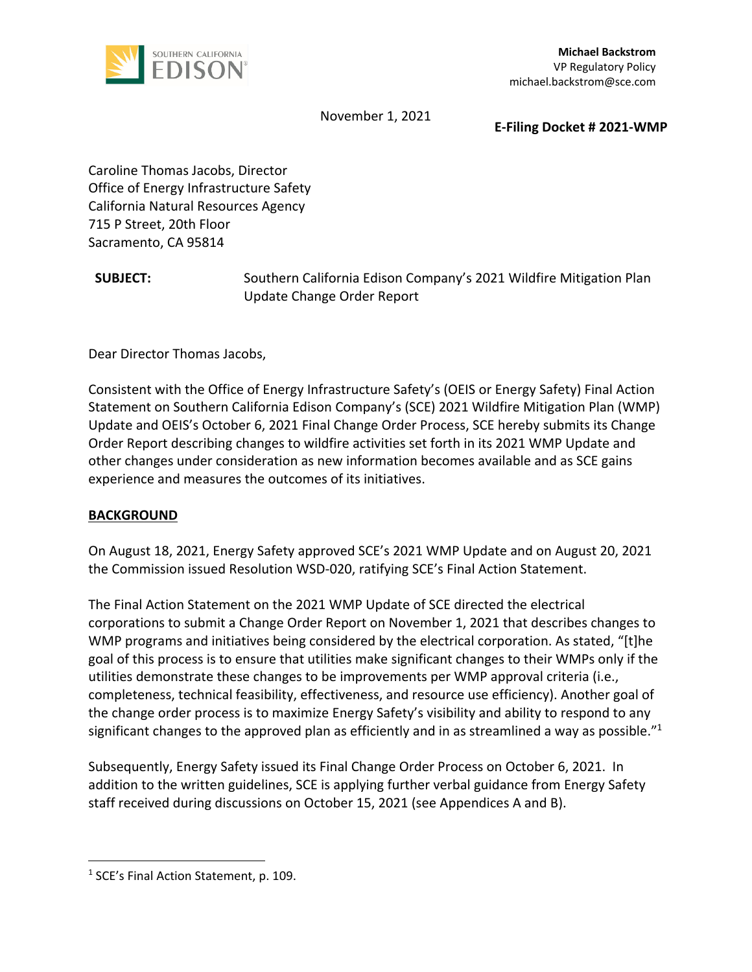

November 1, 2021

**E‐Filing Docket # 2021‐WMP**

Caroline Thomas Jacobs, Director Office of Energy Infrastructure Safety California Natural Resources Agency 715 P Street, 20th Floor Sacramento, CA 95814

**SUBJECT:** Southern California Edison Company's 2021 Wildfire Mitigation Plan Update Change Order Report

Dear Director Thomas Jacobs,

Consistent with the Office of Energy Infrastructure Safety's (OEIS or Energy Safety) Final Action Statement on Southern California Edison Company's (SCE) 2021 Wildfire Mitigation Plan (WMP) Update and OEIS's October 6, 2021 Final Change Order Process, SCE hereby submits its Change Order Report describing changes to wildfire activities set forth in its 2021 WMP Update and other changes under consideration as new information becomes available and as SCE gains experience and measures the outcomes of its initiatives.

#### **BACKGROUND**

On August 18, 2021, Energy Safety approved SCE's 2021 WMP Update and on August 20, 2021 the Commission issued Resolution WSD‐020, ratifying SCE's Final Action Statement.

The Final Action Statement on the 2021 WMP Update of SCE directed the electrical corporations to submit a Change Order Report on November 1, 2021 that describes changes to WMP programs and initiatives being considered by the electrical corporation. As stated, "[t]he goal of this process is to ensure that utilities make significant changes to their WMPs only if the utilities demonstrate these changes to be improvements per WMP approval criteria (i.e., completeness, technical feasibility, effectiveness, and resource use efficiency). Another goal of the change order process is to maximize Energy Safety's visibility and ability to respond to any significant changes to the approved plan as efficiently and in as streamlined a way as possible."<sup>1</sup>

Subsequently, Energy Safety issued its Final Change Order Process on October 6, 2021. In addition to the written guidelines, SCE is applying further verbal guidance from Energy Safety staff received during discussions on October 15, 2021 (see Appendices A and B).

<sup>&</sup>lt;sup>1</sup> SCE's Final Action Statement, p. 109.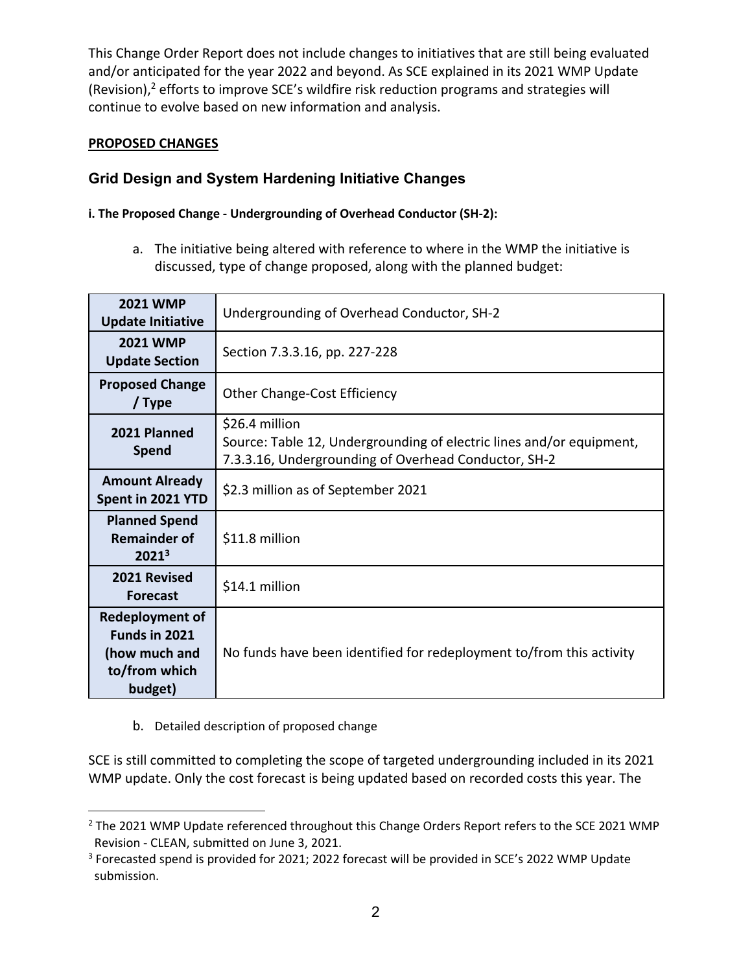This Change Order Report does not include changes to initiatives that are still being evaluated and/or anticipated for the year 2022 and beyond. As SCE explained in its 2021 WMP Update (Revision),<sup>2</sup> efforts to improve SCE's wildfire risk reduction programs and strategies will continue to evolve based on new information and analysis.

#### **PROPOSED CHANGES**

# **Grid Design and System Hardening Initiative Changes**

### **i. The Proposed Change ‐ Undergrounding of Overhead Conductor (SH‐2):**

a. The initiative being altered with reference to where in the WMP the initiative is discussed, type of change proposed, along with the planned budget:

| <b>2021 WMP</b><br><b>Update Initiative</b>                                          | Undergrounding of Overhead Conductor, SH-2                                                                                                     |
|--------------------------------------------------------------------------------------|------------------------------------------------------------------------------------------------------------------------------------------------|
| <b>2021 WMP</b><br><b>Update Section</b>                                             | Section 7.3.3.16, pp. 227-228                                                                                                                  |
| <b>Proposed Change</b><br>/ Type                                                     | <b>Other Change-Cost Efficiency</b>                                                                                                            |
| 2021 Planned<br><b>Spend</b>                                                         | \$26.4 million<br>Source: Table 12, Undergrounding of electric lines and/or equipment,<br>7.3.3.16, Undergrounding of Overhead Conductor, SH-2 |
| <b>Amount Already</b><br>Spent in 2021 YTD                                           | \$2.3 million as of September 2021                                                                                                             |
| <b>Planned Spend</b><br><b>Remainder of</b><br>$2021^3$                              | \$11.8 million                                                                                                                                 |
| 2021 Revised<br><b>Forecast</b>                                                      | \$14.1 million                                                                                                                                 |
| <b>Redeployment of</b><br>Funds in 2021<br>(how much and<br>to/from which<br>budget) | No funds have been identified for redeployment to/from this activity                                                                           |

b. Detailed description of proposed change

SCE is still committed to completing the scope of targeted undergrounding included in its 2021 WMP update. Only the cost forecast is being updated based on recorded costs this year. The

<sup>&</sup>lt;sup>2</sup> The 2021 WMP Update referenced throughout this Change Orders Report refers to the SCE 2021 WMP Revision ‐ CLEAN, submitted on June 3, 2021.

<sup>&</sup>lt;sup>3</sup> Forecasted spend is provided for 2021; 2022 forecast will be provided in SCE's 2022 WMP Update submission.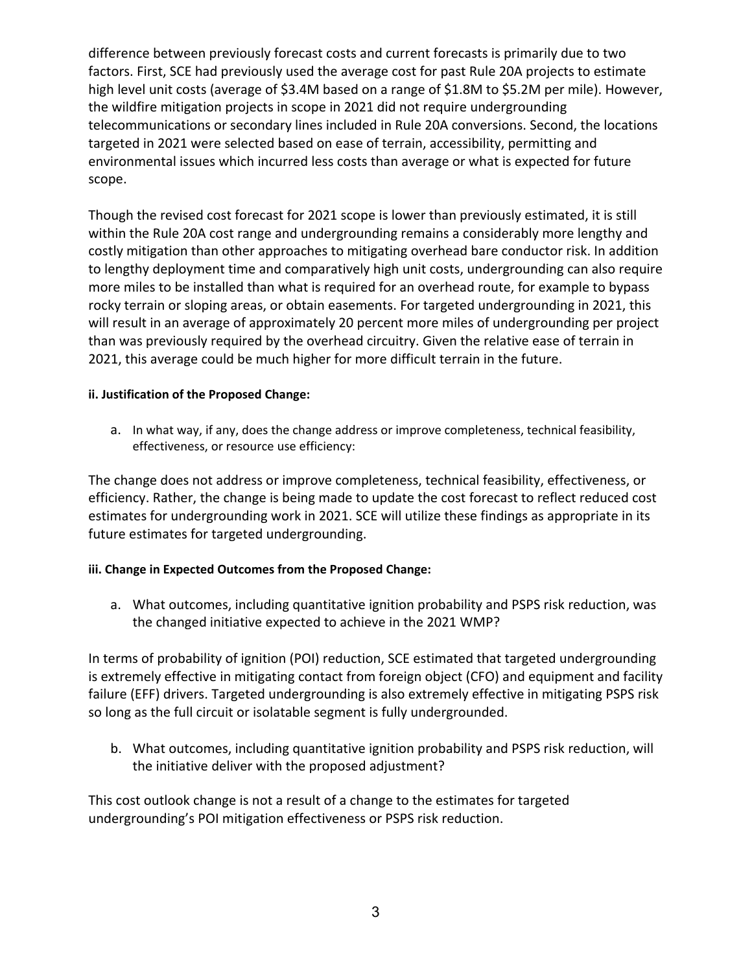difference between previously forecast costs and current forecasts is primarily due to two factors. First, SCE had previously used the average cost for past Rule 20A projects to estimate high level unit costs (average of \$3.4M based on a range of \$1.8M to \$5.2M per mile). However, the wildfire mitigation projects in scope in 2021 did not require undergrounding telecommunications or secondary lines included in Rule 20A conversions. Second, the locations targeted in 2021 were selected based on ease of terrain, accessibility, permitting and environmental issues which incurred less costs than average or what is expected for future scope.

Though the revised cost forecast for 2021 scope is lower than previously estimated, it is still within the Rule 20A cost range and undergrounding remains a considerably more lengthy and costly mitigation than other approaches to mitigating overhead bare conductor risk. In addition to lengthy deployment time and comparatively high unit costs, undergrounding can also require more miles to be installed than what is required for an overhead route, for example to bypass rocky terrain or sloping areas, or obtain easements. For targeted undergrounding in 2021, this will result in an average of approximately 20 percent more miles of undergrounding per project than was previously required by the overhead circuitry. Given the relative ease of terrain in 2021, this average could be much higher for more difficult terrain in the future.

#### **ii. Justification of the Proposed Change:**

a. In what way, if any, does the change address or improve completeness, technical feasibility, effectiveness, or resource use efficiency:

The change does not address or improve completeness, technical feasibility, effectiveness, or efficiency. Rather, the change is being made to update the cost forecast to reflect reduced cost estimates for undergrounding work in 2021. SCE will utilize these findings as appropriate in its future estimates for targeted undergrounding.

#### **iii. Change in Expected Outcomes from the Proposed Change:**

a. What outcomes, including quantitative ignition probability and PSPS risk reduction, was the changed initiative expected to achieve in the 2021 WMP?

In terms of probability of ignition (POI) reduction, SCE estimated that targeted undergrounding is extremely effective in mitigating contact from foreign object (CFO) and equipment and facility failure (EFF) drivers. Targeted undergrounding is also extremely effective in mitigating PSPS risk so long as the full circuit or isolatable segment is fully undergrounded.

b. What outcomes, including quantitative ignition probability and PSPS risk reduction, will the initiative deliver with the proposed adjustment?

This cost outlook change is not a result of a change to the estimates for targeted undergrounding's POI mitigation effectiveness or PSPS risk reduction.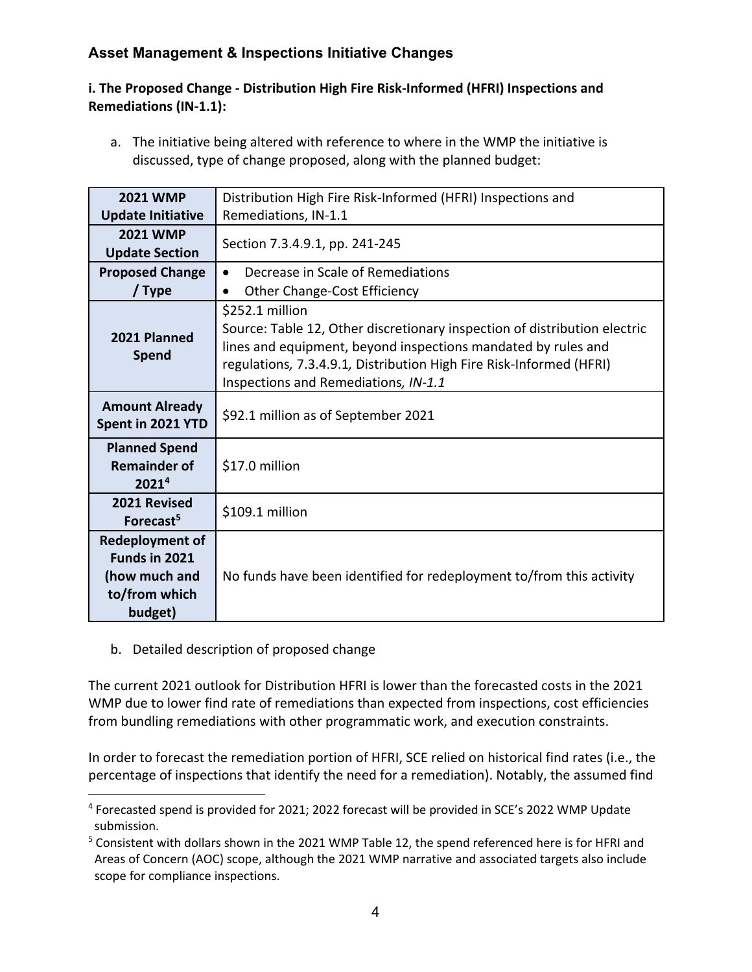# **Asset Management & Inspections Initiative Changes**

# **i. The Proposed Change ‐ Distribution High Fire Risk‐Informed (HFRI) Inspections and Remediations (IN‐1.1):**

a. The initiative being altered with reference to where in the WMP the initiative is discussed, type of change proposed, along with the planned budget:

| <b>2021 WMP</b>                                                                      | Distribution High Fire Risk-Informed (HFRI) Inspections and                                                                                                                                                                                                                  |
|--------------------------------------------------------------------------------------|------------------------------------------------------------------------------------------------------------------------------------------------------------------------------------------------------------------------------------------------------------------------------|
| <b>Update Initiative</b>                                                             | Remediations, IN-1.1                                                                                                                                                                                                                                                         |
| <b>2021 WMP</b>                                                                      |                                                                                                                                                                                                                                                                              |
| <b>Update Section</b>                                                                | Section 7.3.4.9.1, pp. 241-245                                                                                                                                                                                                                                               |
| <b>Proposed Change</b>                                                               | Decrease in Scale of Remediations                                                                                                                                                                                                                                            |
| / Type                                                                               | Other Change-Cost Efficiency                                                                                                                                                                                                                                                 |
| 2021 Planned<br><b>Spend</b>                                                         | \$252.1 million<br>Source: Table 12, Other discretionary inspection of distribution electric<br>lines and equipment, beyond inspections mandated by rules and<br>regulations, 7.3.4.9.1, Distribution High Fire Risk-Informed (HFRI)<br>Inspections and Remediations, IN-1.1 |
| <b>Amount Already</b><br>Spent in 2021 YTD                                           | \$92.1 million as of September 2021                                                                                                                                                                                                                                          |
| <b>Planned Spend</b><br><b>Remainder of</b><br>2021 <sup>4</sup>                     | \$17.0 million                                                                                                                                                                                                                                                               |
| 2021 Revised<br>Forecast <sup>5</sup>                                                | \$109.1 million                                                                                                                                                                                                                                                              |
| <b>Redeployment of</b><br>Funds in 2021<br>(how much and<br>to/from which<br>budget) | No funds have been identified for redeployment to/from this activity                                                                                                                                                                                                         |

b. Detailed description of proposed change

The current 2021 outlook for Distribution HFRI is lower than the forecasted costs in the 2021 WMP due to lower find rate of remediations than expected from inspections, cost efficiencies from bundling remediations with other programmatic work, and execution constraints.

In order to forecast the remediation portion of HFRI, SCE relied on historical find rates (i.e., the percentage of inspections that identify the need for a remediation). Notably, the assumed find

<sup>4</sup> Forecasted spend is provided for 2021; 2022 forecast will be provided in SCE's 2022 WMP Update submission.

<sup>&</sup>lt;sup>5</sup> Consistent with dollars shown in the 2021 WMP Table 12, the spend referenced here is for HFRI and Areas of Concern (AOC) scope, although the 2021 WMP narrative and associated targets also include scope for compliance inspections.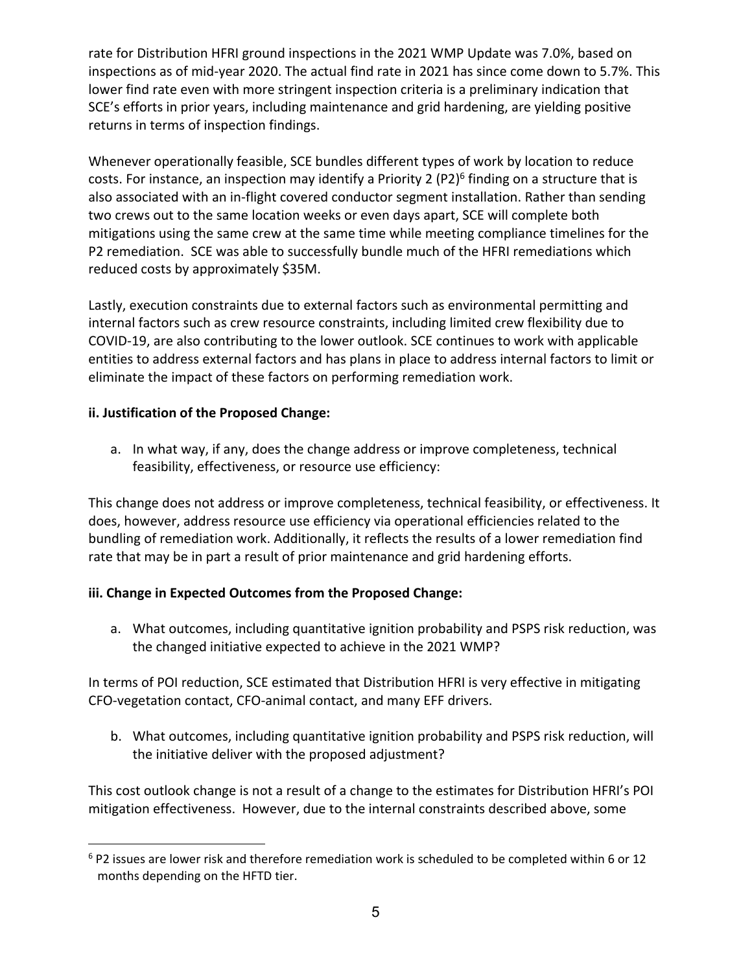rate for Distribution HFRI ground inspections in the 2021 WMP Update was 7.0%, based on inspections as of mid‐year 2020. The actual find rate in 2021 has since come down to 5.7%. This lower find rate even with more stringent inspection criteria is a preliminary indication that SCE's efforts in prior years, including maintenance and grid hardening, are yielding positive returns in terms of inspection findings.

Whenever operationally feasible, SCE bundles different types of work by location to reduce costs. For instance, an inspection may identify a Priority 2 (P2) $<sup>6</sup>$  finding on a structure that is</sup> also associated with an in‐flight covered conductor segment installation. Rather than sending two crews out to the same location weeks or even days apart, SCE will complete both mitigations using the same crew at the same time while meeting compliance timelines for the P2 remediation. SCE was able to successfully bundle much of the HFRI remediations which reduced costs by approximately \$35M.

Lastly, execution constraints due to external factors such as environmental permitting and internal factors such as crew resource constraints, including limited crew flexibility due to COVID‐19, are also contributing to the lower outlook. SCE continues to work with applicable entities to address external factors and has plans in place to address internal factors to limit or eliminate the impact of these factors on performing remediation work.

#### **ii. Justification of the Proposed Change:**

a. In what way, if any, does the change address or improve completeness, technical feasibility, effectiveness, or resource use efficiency:

This change does not address or improve completeness, technical feasibility, or effectiveness. It does, however, address resource use efficiency via operational efficiencies related to the bundling of remediation work. Additionally, it reflects the results of a lower remediation find rate that may be in part a result of prior maintenance and grid hardening efforts.

# **iii. Change in Expected Outcomes from the Proposed Change:**

a. What outcomes, including quantitative ignition probability and PSPS risk reduction, was the changed initiative expected to achieve in the 2021 WMP?

In terms of POI reduction, SCE estimated that Distribution HFRI is very effective in mitigating CFO‐vegetation contact, CFO‐animal contact, and many EFF drivers.

b. What outcomes, including quantitative ignition probability and PSPS risk reduction, will the initiative deliver with the proposed adjustment?

This cost outlook change is not a result of a change to the estimates for Distribution HFRI's POI mitigation effectiveness. However, due to the internal constraints described above, some

<sup>6</sup> P2 issues are lower risk and therefore remediation work is scheduled to be completed within 6 or 12 months depending on the HFTD tier.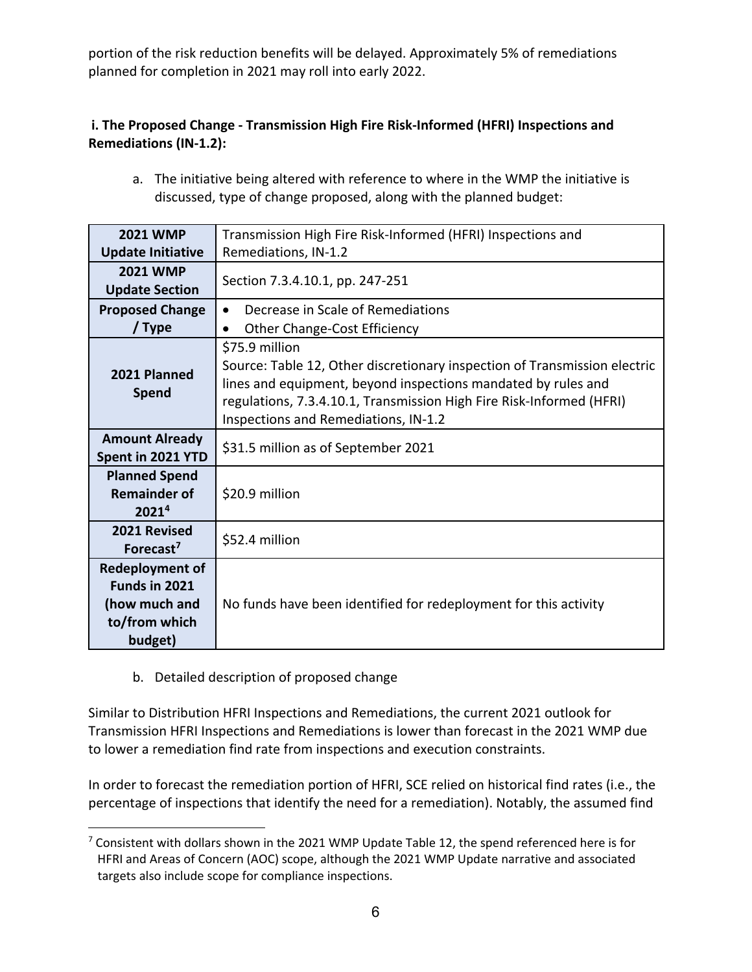portion of the risk reduction benefits will be delayed. Approximately 5% of remediations planned for completion in 2021 may roll into early 2022.

# **i. The Proposed Change ‐ Transmission High Fire Risk‐Informed (HFRI) Inspections and Remediations (IN‐1.2):**

a. The initiative being altered with reference to where in the WMP the initiative is discussed, type of change proposed, along with the planned budget:

| <b>2021 WMP</b>                                                                      | Transmission High Fire Risk-Informed (HFRI) Inspections and                                                                                                                                                                                                                  |
|--------------------------------------------------------------------------------------|------------------------------------------------------------------------------------------------------------------------------------------------------------------------------------------------------------------------------------------------------------------------------|
| <b>Update Initiative</b>                                                             | Remediations, IN-1.2                                                                                                                                                                                                                                                         |
| <b>2021 WMP</b>                                                                      | Section 7.3.4.10.1, pp. 247-251                                                                                                                                                                                                                                              |
| <b>Update Section</b>                                                                |                                                                                                                                                                                                                                                                              |
| <b>Proposed Change</b>                                                               | Decrease in Scale of Remediations                                                                                                                                                                                                                                            |
| / Type                                                                               | <b>Other Change-Cost Efficiency</b><br>$\bullet$                                                                                                                                                                                                                             |
| 2021 Planned<br><b>Spend</b>                                                         | \$75.9 million<br>Source: Table 12, Other discretionary inspection of Transmission electric<br>lines and equipment, beyond inspections mandated by rules and<br>regulations, 7.3.4.10.1, Transmission High Fire Risk-Informed (HFRI)<br>Inspections and Remediations, IN-1.2 |
| <b>Amount Already</b><br>Spent in 2021 YTD                                           | \$31.5 million as of September 2021                                                                                                                                                                                                                                          |
| <b>Planned Spend</b><br><b>Remainder of</b><br>2021 <sup>4</sup>                     | \$20.9 million                                                                                                                                                                                                                                                               |
| 2021 Revised<br>Forecast <sup>7</sup>                                                | \$52.4 million                                                                                                                                                                                                                                                               |
| <b>Redeployment of</b><br>Funds in 2021<br>(how much and<br>to/from which<br>budget) | No funds have been identified for redeployment for this activity                                                                                                                                                                                                             |

b. Detailed description of proposed change

Similar to Distribution HFRI Inspections and Remediations, the current 2021 outlook for Transmission HFRI Inspections and Remediations is lower than forecast in the 2021 WMP due to lower a remediation find rate from inspections and execution constraints.

In order to forecast the remediation portion of HFRI, SCE relied on historical find rates (i.e., the percentage of inspections that identify the need for a remediation). Notably, the assumed find

<sup>&</sup>lt;sup>7</sup> Consistent with dollars shown in the 2021 WMP Update Table 12, the spend referenced here is for HFRI and Areas of Concern (AOC) scope, although the 2021 WMP Update narrative and associated targets also include scope for compliance inspections.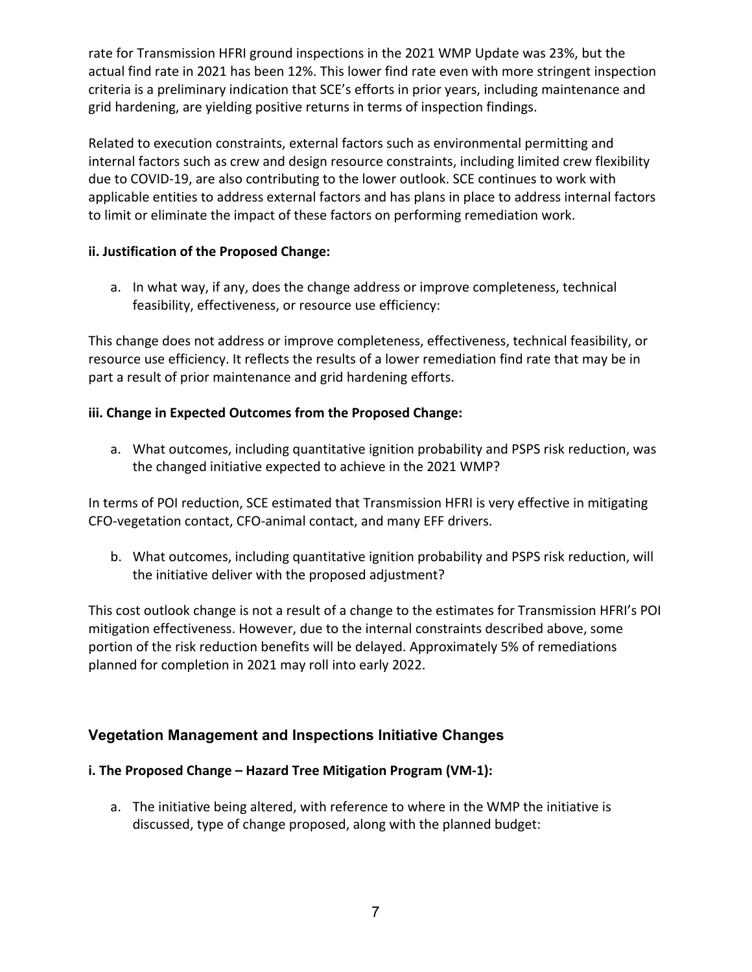rate for Transmission HFRI ground inspections in the 2021 WMP Update was 23%, but the actual find rate in 2021 has been 12%. This lower find rate even with more stringent inspection criteria is a preliminary indication that SCE's efforts in prior years, including maintenance and grid hardening, are yielding positive returns in terms of inspection findings.

Related to execution constraints, external factors such as environmental permitting and internal factors such as crew and design resource constraints, including limited crew flexibility due to COVID‐19, are also contributing to the lower outlook. SCE continues to work with applicable entities to address external factors and has plans in place to address internal factors to limit or eliminate the impact of these factors on performing remediation work.

#### **ii. Justification of the Proposed Change:**

a. In what way, if any, does the change address or improve completeness, technical feasibility, effectiveness, or resource use efficiency:

This change does not address or improve completeness, effectiveness, technical feasibility, or resource use efficiency. It reflects the results of a lower remediation find rate that may be in part a result of prior maintenance and grid hardening efforts.

# **iii. Change in Expected Outcomes from the Proposed Change:**

a. What outcomes, including quantitative ignition probability and PSPS risk reduction, was the changed initiative expected to achieve in the 2021 WMP?

In terms of POI reduction, SCE estimated that Transmission HFRI is very effective in mitigating CFO‐vegetation contact, CFO‐animal contact, and many EFF drivers.

b. What outcomes, including quantitative ignition probability and PSPS risk reduction, will the initiative deliver with the proposed adjustment?

This cost outlook change is not a result of a change to the estimates for Transmission HFRI's POI mitigation effectiveness. However, due to the internal constraints described above, some portion of the risk reduction benefits will be delayed. Approximately 5% of remediations planned for completion in 2021 may roll into early 2022.

# **Vegetation Management and Inspections Initiative Changes**

# **i. The Proposed Change – Hazard Tree Mitigation Program (VM‐1):**

a. The initiative being altered, with reference to where in the WMP the initiative is discussed, type of change proposed, along with the planned budget: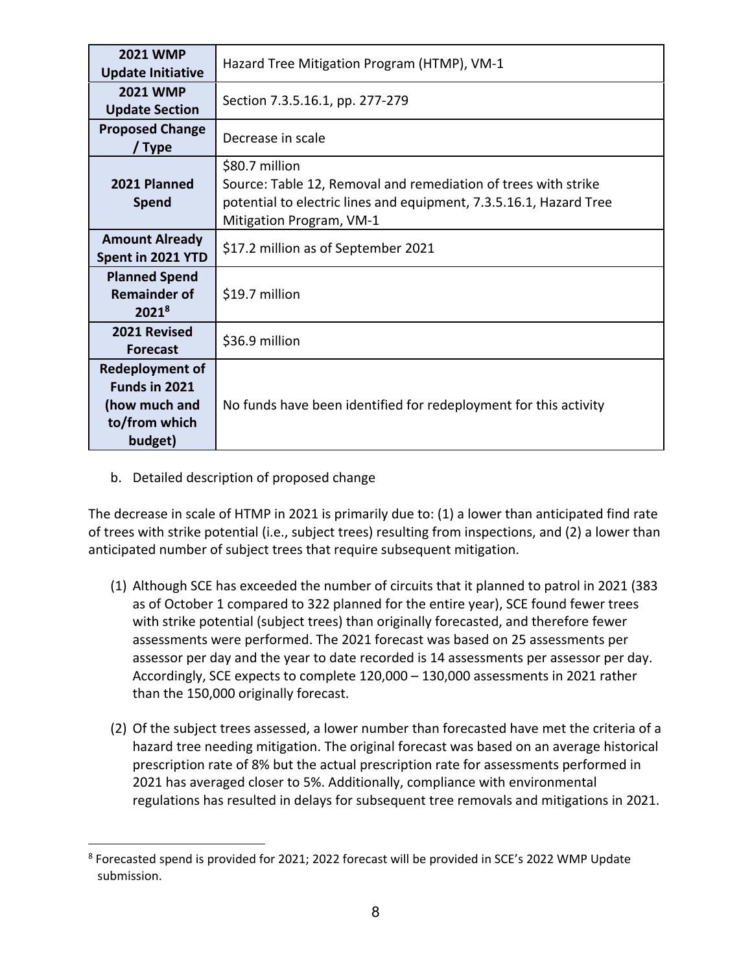| <b>2021 WMP</b><br><b>Update Initiative</b>                                          | Hazard Tree Mitigation Program (HTMP), VM-1                                                                                                                                        |
|--------------------------------------------------------------------------------------|------------------------------------------------------------------------------------------------------------------------------------------------------------------------------------|
| <b>2021 WMP</b><br><b>Update Section</b>                                             | Section 7.3.5.16.1, pp. 277-279                                                                                                                                                    |
| <b>Proposed Change</b><br>/ Type                                                     | Decrease in scale                                                                                                                                                                  |
| 2021 Planned<br><b>Spend</b>                                                         | \$80.7 million<br>Source: Table 12, Removal and remediation of trees with strike<br>potential to electric lines and equipment, 7.3.5.16.1, Hazard Tree<br>Mitigation Program, VM-1 |
| <b>Amount Already</b><br>Spent in 2021 YTD                                           | \$17.2 million as of September 2021                                                                                                                                                |
| <b>Planned Spend</b><br><b>Remainder of</b><br>2021 <sup>8</sup>                     | \$19.7 million                                                                                                                                                                     |
| 2021 Revised<br><b>Forecast</b>                                                      | \$36.9 million                                                                                                                                                                     |
| <b>Redeployment of</b><br>Funds in 2021<br>(how much and<br>to/from which<br>budget) | No funds have been identified for redeployment for this activity                                                                                                                   |

b. Detailed description of proposed change

The decrease in scale of HTMP in 2021 is primarily due to: (1) a lower than anticipated find rate of trees with strike potential (i.e., subject trees) resulting from inspections, and (2) a lower than anticipated number of subject trees that require subsequent mitigation.

- (1) Although SCE has exceeded the number of circuits that it planned to patrol in 2021 (383 as of October 1 compared to 322 planned for the entire year), SCE found fewer trees with strike potential (subject trees) than originally forecasted, and therefore fewer assessments were performed. The 2021 forecast was based on 25 assessments per assessor per day and the year to date recorded is 14 assessments per assessor per day. Accordingly, SCE expects to complete 120,000 – 130,000 assessments in 2021 rather than the 150,000 originally forecast.
- (2) Of the subject trees assessed, a lower number than forecasted have met the criteria of a hazard tree needing mitigation. The original forecast was based on an average historical prescription rate of 8% but the actual prescription rate for assessments performed in 2021 has averaged closer to 5%. Additionally, compliance with environmental regulations has resulted in delays for subsequent tree removals and mitigations in 2021.

<sup>8</sup> Forecasted spend is provided for 2021; 2022 forecast will be provided in SCE's 2022 WMP Update submission.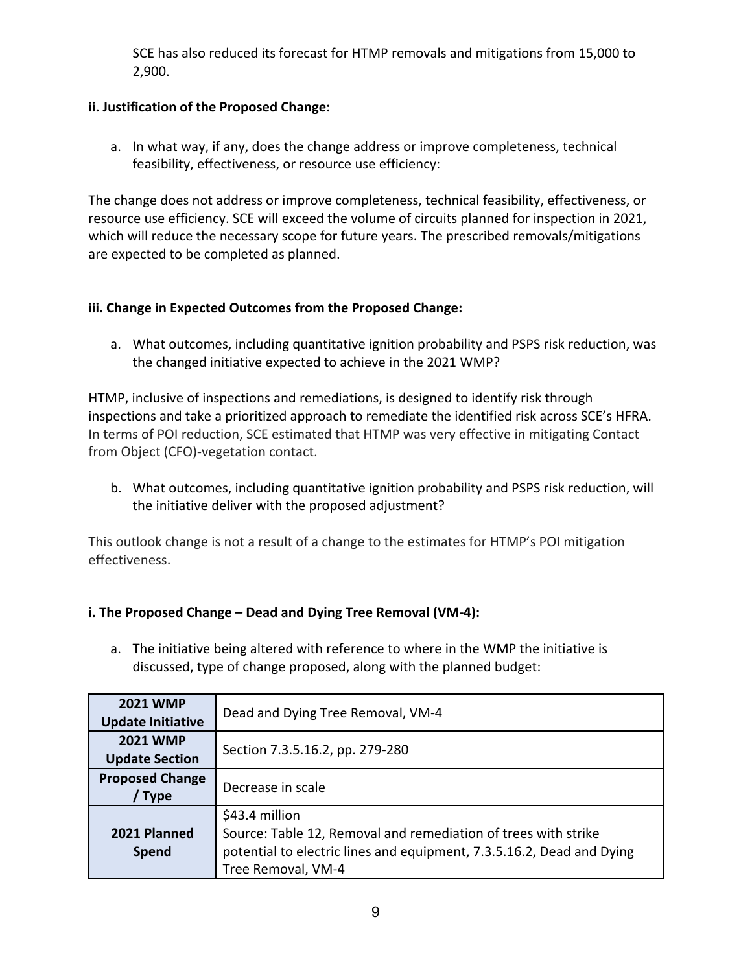SCE has also reduced its forecast for HTMP removals and mitigations from 15,000 to 2,900.

# **ii. Justification of the Proposed Change:**

a. In what way, if any, does the change address or improve completeness, technical feasibility, effectiveness, or resource use efficiency:

The change does not address or improve completeness, technical feasibility, effectiveness, or resource use efficiency. SCE will exceed the volume of circuits planned for inspection in 2021, which will reduce the necessary scope for future years. The prescribed removals/mitigations are expected to be completed as planned.

#### **iii. Change in Expected Outcomes from the Proposed Change:**

a. What outcomes, including quantitative ignition probability and PSPS risk reduction, was the changed initiative expected to achieve in the 2021 WMP?

HTMP, inclusive of inspections and remediations, is designed to identify risk through inspections and take a prioritized approach to remediate the identified risk across SCE's HFRA. In terms of POI reduction, SCE estimated that HTMP was very effective in mitigating Contact from Object (CFO)‐vegetation contact.

b. What outcomes, including quantitative ignition probability and PSPS risk reduction, will the initiative deliver with the proposed adjustment?

This outlook change is not a result of a change to the estimates for HTMP's POI mitigation effectiveness.

#### **i. The Proposed Change – Dead and Dying Tree Removal (VM‐4):**

a. The initiative being altered with reference to where in the WMP the initiative is discussed, type of change proposed, along with the planned budget:

| <b>2021 WMP</b><br><b>Update Initiative</b> | Dead and Dying Tree Removal, VM-4                                                                                                                                               |
|---------------------------------------------|---------------------------------------------------------------------------------------------------------------------------------------------------------------------------------|
| <b>2021 WMP</b><br><b>Update Section</b>    | Section 7.3.5.16.2, pp. 279-280                                                                                                                                                 |
| <b>Proposed Change</b><br>/ Type            | Decrease in scale                                                                                                                                                               |
| 2021 Planned<br><b>Spend</b>                | \$43.4 million<br>Source: Table 12, Removal and remediation of trees with strike<br>potential to electric lines and equipment, 7.3.5.16.2, Dead and Dying<br>Tree Removal, VM-4 |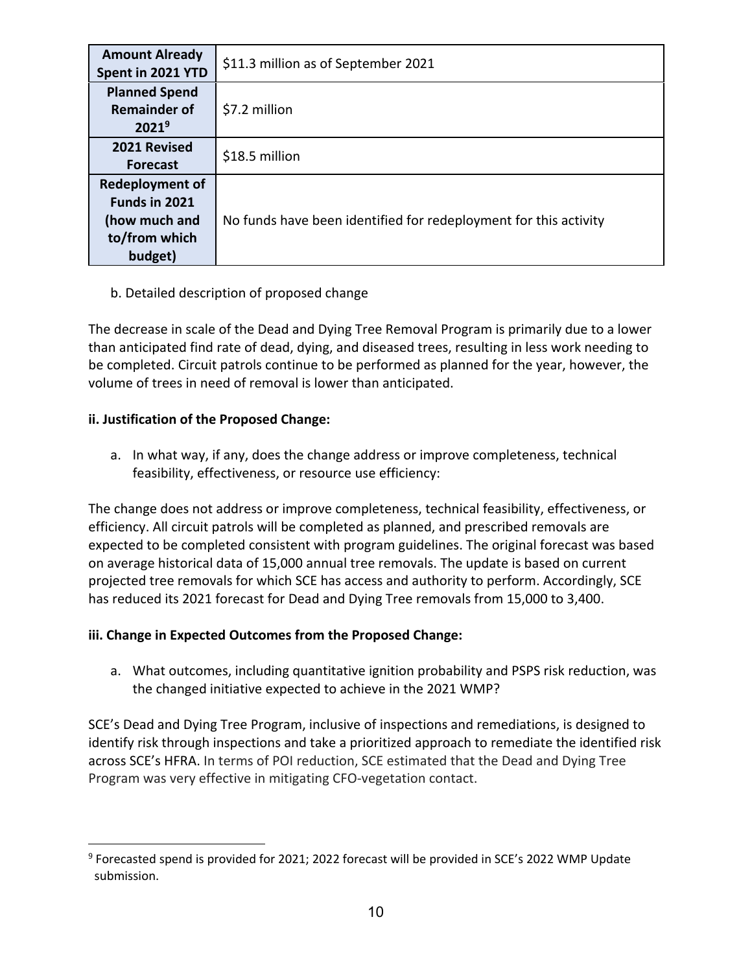| <b>Amount Already</b><br>Spent in 2021 YTD                                           | \$11.3 million as of September 2021                              |
|--------------------------------------------------------------------------------------|------------------------------------------------------------------|
| <b>Planned Spend</b><br><b>Remainder of</b><br>$2021^9$                              | \$7.2 million                                                    |
| 2021 Revised<br><b>Forecast</b>                                                      | \$18.5 million                                                   |
| <b>Redeployment of</b><br>Funds in 2021<br>(how much and<br>to/from which<br>budget) | No funds have been identified for redeployment for this activity |

# b. Detailed description of proposed change

The decrease in scale of the Dead and Dying Tree Removal Program is primarily due to a lower than anticipated find rate of dead, dying, and diseased trees, resulting in less work needing to be completed. Circuit patrols continue to be performed as planned for the year, however, the volume of trees in need of removal is lower than anticipated.

# **ii. Justification of the Proposed Change:**

a. In what way, if any, does the change address or improve completeness, technical feasibility, effectiveness, or resource use efficiency:

The change does not address or improve completeness, technical feasibility, effectiveness, or efficiency. All circuit patrols will be completed as planned, and prescribed removals are expected to be completed consistent with program guidelines. The original forecast was based on average historical data of 15,000 annual tree removals. The update is based on current projected tree removals for which SCE has access and authority to perform. Accordingly, SCE has reduced its 2021 forecast for Dead and Dying Tree removals from 15,000 to 3,400.

# **iii. Change in Expected Outcomes from the Proposed Change:**

a. What outcomes, including quantitative ignition probability and PSPS risk reduction, was the changed initiative expected to achieve in the 2021 WMP?

SCE's Dead and Dying Tree Program, inclusive of inspections and remediations, is designed to identify risk through inspections and take a prioritized approach to remediate the identified risk across SCE's HFRA. In terms of POI reduction, SCE estimated that the Dead and Dying Tree Program was very effective in mitigating CFO‐vegetation contact.

<sup>9</sup> Forecasted spend is provided for 2021; 2022 forecast will be provided in SCE's 2022 WMP Update submission.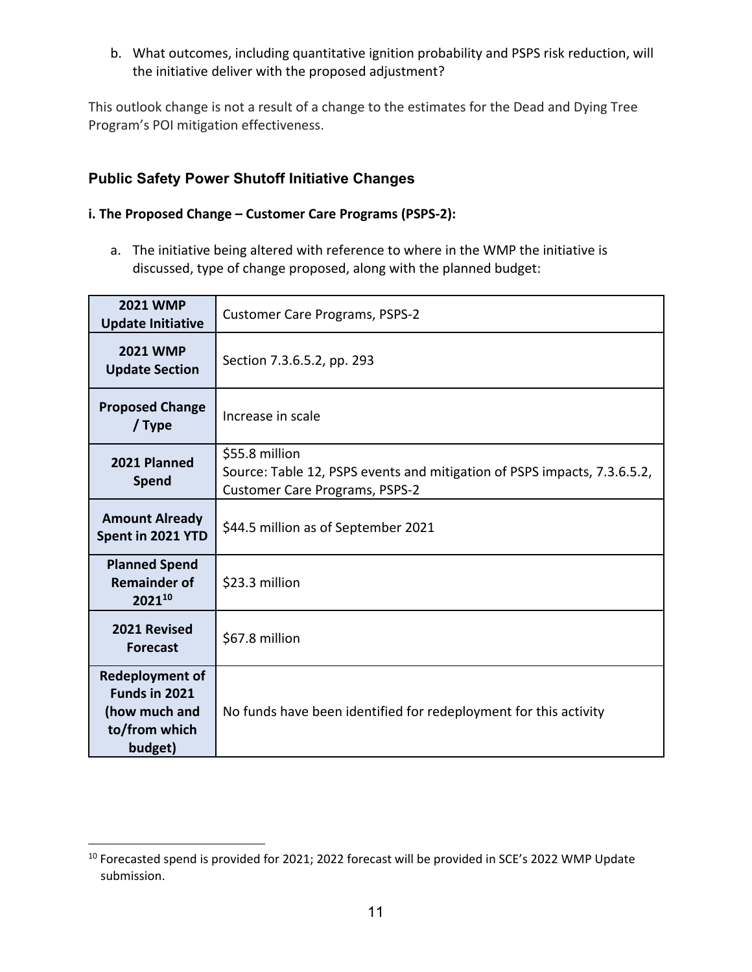b. What outcomes, including quantitative ignition probability and PSPS risk reduction, will the initiative deliver with the proposed adjustment?

This outlook change is not a result of a change to the estimates for the Dead and Dying Tree Program's POI mitigation effectiveness.

# **Public Safety Power Shutoff Initiative Changes**

#### **i. The Proposed Change – Customer Care Programs (PSPS‐2):**

a. The initiative being altered with reference to where in the WMP the initiative is discussed, type of change proposed, along with the planned budget:

| <b>2021 WMP</b><br><b>Update Initiative</b>                                          | <b>Customer Care Programs, PSPS-2</b>                                                                                               |
|--------------------------------------------------------------------------------------|-------------------------------------------------------------------------------------------------------------------------------------|
| <b>2021 WMP</b><br><b>Update Section</b>                                             | Section 7.3.6.5.2, pp. 293                                                                                                          |
| <b>Proposed Change</b><br>/ Type                                                     | Increase in scale                                                                                                                   |
| 2021 Planned<br><b>Spend</b>                                                         | \$55.8 million<br>Source: Table 12, PSPS events and mitigation of PSPS impacts, 7.3.6.5.2,<br><b>Customer Care Programs, PSPS-2</b> |
| <b>Amount Already</b><br>Spent in 2021 YTD                                           | \$44.5 million as of September 2021                                                                                                 |
| <b>Planned Spend</b><br><b>Remainder of</b><br>202110                                | \$23.3 million                                                                                                                      |
| 2021 Revised<br><b>Forecast</b>                                                      | \$67.8 million                                                                                                                      |
| <b>Redeployment of</b><br>Funds in 2021<br>(how much and<br>to/from which<br>budget) | No funds have been identified for redeployment for this activity                                                                    |

<sup>&</sup>lt;sup>10</sup> Forecasted spend is provided for 2021; 2022 forecast will be provided in SCE's 2022 WMP Update submission.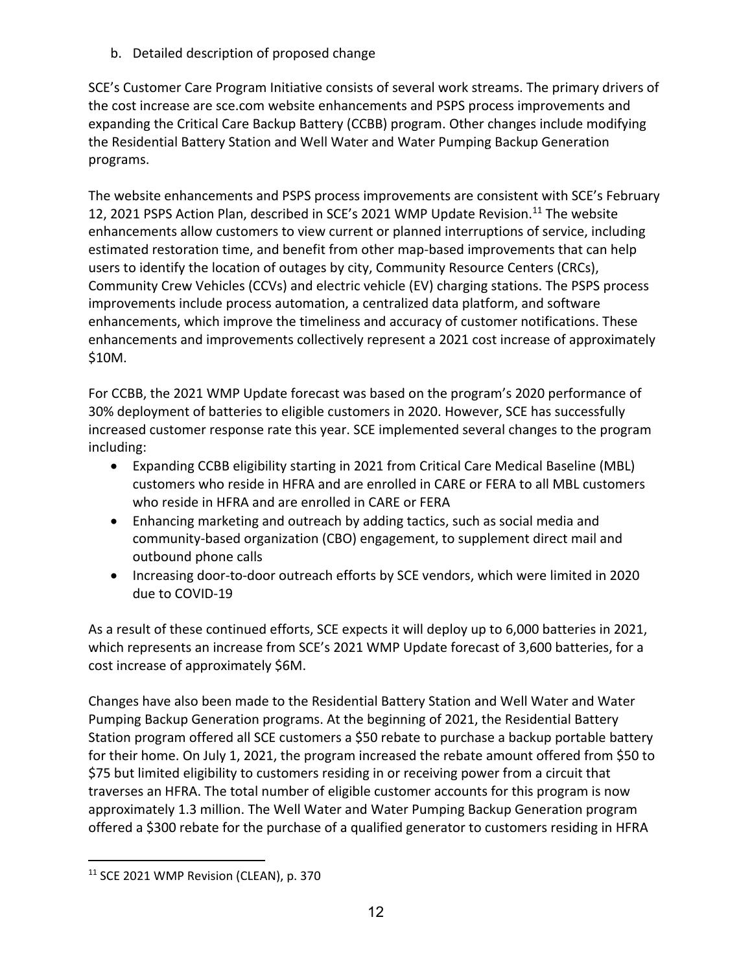b. Detailed description of proposed change

SCE's Customer Care Program Initiative consists of several work streams. The primary drivers of the cost increase are sce.com website enhancements and PSPS process improvements and expanding the Critical Care Backup Battery (CCBB) program. Other changes include modifying the Residential Battery Station and Well Water and Water Pumping Backup Generation programs.

The website enhancements and PSPS process improvements are consistent with SCE's February 12, 2021 PSPS Action Plan, described in SCE's 2021 WMP Update Revision.<sup>11</sup> The website enhancements allow customers to view current or planned interruptions of service, including estimated restoration time, and benefit from other map-based improvements that can help users to identify the location of outages by city, Community Resource Centers (CRCs), Community Crew Vehicles (CCVs) and electric vehicle (EV) charging stations. The PSPS process improvements include process automation, a centralized data platform, and software enhancements, which improve the timeliness and accuracy of customer notifications. These enhancements and improvements collectively represent a 2021 cost increase of approximately \$10M.

For CCBB, the 2021 WMP Update forecast was based on the program's 2020 performance of 30% deployment of batteries to eligible customers in 2020. However, SCE has successfully increased customer response rate this year. SCE implemented several changes to the program including:

- Expanding CCBB eligibility starting in 2021 from Critical Care Medical Baseline (MBL) customers who reside in HFRA and are enrolled in CARE or FERA to all MBL customers who reside in HFRA and are enrolled in CARE or FERA
- Enhancing marketing and outreach by adding tactics, such as social media and community‐based organization (CBO) engagement, to supplement direct mail and outbound phone calls
- Increasing door-to-door outreach efforts by SCE vendors, which were limited in 2020 due to COVID‐19

As a result of these continued efforts, SCE expects it will deploy up to 6,000 batteries in 2021, which represents an increase from SCE's 2021 WMP Update forecast of 3,600 batteries, for a cost increase of approximately \$6M.

Changes have also been made to the Residential Battery Station and Well Water and Water Pumping Backup Generation programs. At the beginning of 2021, the Residential Battery Station program offered all SCE customers a \$50 rebate to purchase a backup portable battery for their home. On July 1, 2021, the program increased the rebate amount offered from \$50 to \$75 but limited eligibility to customers residing in or receiving power from a circuit that traverses an HFRA. The total number of eligible customer accounts for this program is now approximately 1.3 million. The Well Water and Water Pumping Backup Generation program offered a \$300 rebate for the purchase of a qualified generator to customers residing in HFRA

<sup>&</sup>lt;sup>11</sup> SCE 2021 WMP Revision (CLEAN), p. 370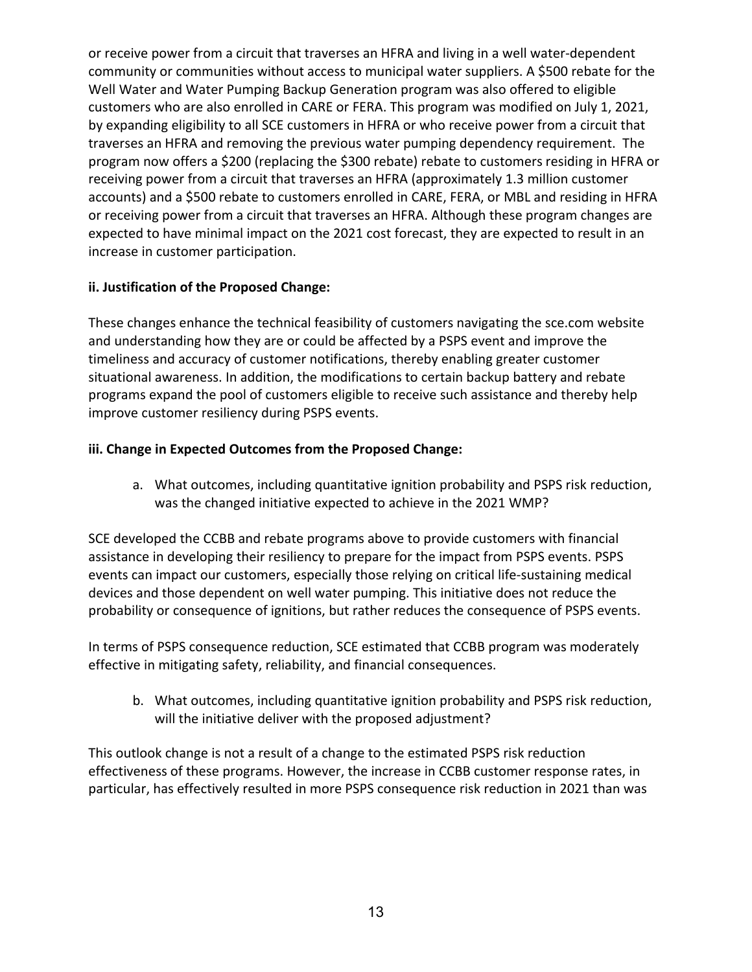or receive power from a circuit that traverses an HFRA and living in a well water‐dependent community or communities without access to municipal water suppliers. A \$500 rebate for the Well Water and Water Pumping Backup Generation program was also offered to eligible customers who are also enrolled in CARE or FERA. This program was modified on July 1, 2021, by expanding eligibility to all SCE customers in HFRA or who receive power from a circuit that traverses an HFRA and removing the previous water pumping dependency requirement. The program now offers a \$200 (replacing the \$300 rebate) rebate to customers residing in HFRA or receiving power from a circuit that traverses an HFRA (approximately 1.3 million customer accounts) and a \$500 rebate to customers enrolled in CARE, FERA, or MBL and residing in HFRA or receiving power from a circuit that traverses an HFRA. Although these program changes are expected to have minimal impact on the 2021 cost forecast, they are expected to result in an increase in customer participation.

# **ii. Justification of the Proposed Change:**

These changes enhance the technical feasibility of customers navigating the sce.com website and understanding how they are or could be affected by a PSPS event and improve the timeliness and accuracy of customer notifications, thereby enabling greater customer situational awareness. In addition, the modifications to certain backup battery and rebate programs expand the pool of customers eligible to receive such assistance and thereby help improve customer resiliency during PSPS events.

#### **iii. Change in Expected Outcomes from the Proposed Change:**

a. What outcomes, including quantitative ignition probability and PSPS risk reduction, was the changed initiative expected to achieve in the 2021 WMP?

SCE developed the CCBB and rebate programs above to provide customers with financial assistance in developing their resiliency to prepare for the impact from PSPS events. PSPS events can impact our customers, especially those relying on critical life‐sustaining medical devices and those dependent on well water pumping. This initiative does not reduce the probability or consequence of ignitions, but rather reduces the consequence of PSPS events.

In terms of PSPS consequence reduction, SCE estimated that CCBB program was moderately effective in mitigating safety, reliability, and financial consequences.

b. What outcomes, including quantitative ignition probability and PSPS risk reduction, will the initiative deliver with the proposed adjustment?

This outlook change is not a result of a change to the estimated PSPS risk reduction effectiveness of these programs. However, the increase in CCBB customer response rates, in particular, has effectively resulted in more PSPS consequence risk reduction in 2021 than was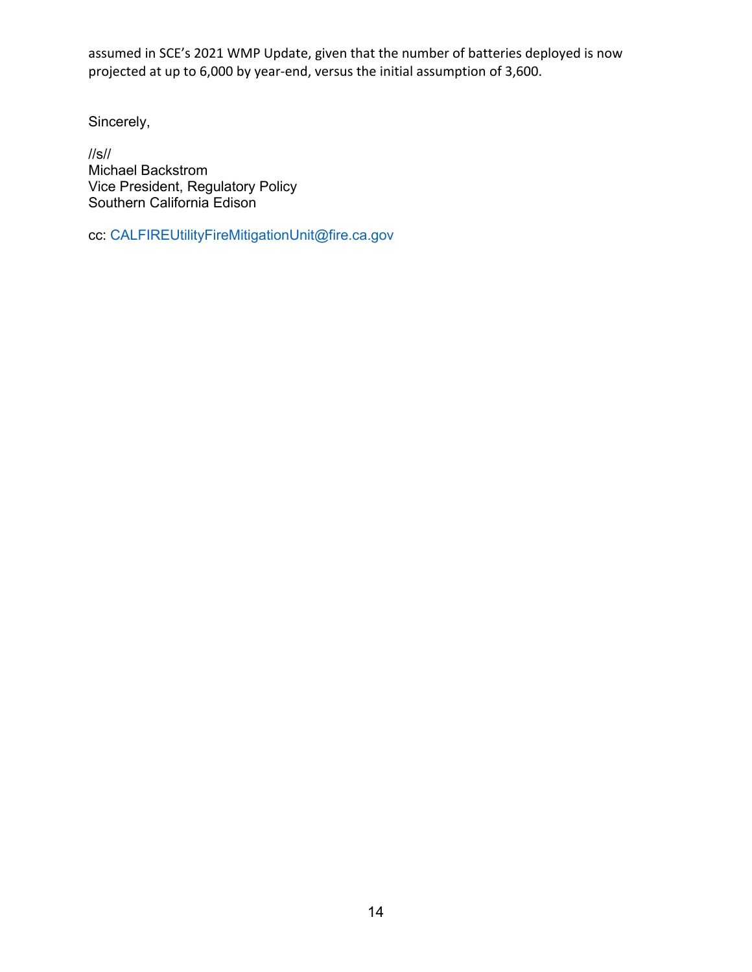assumed in SCE's 2021 WMP Update, given that the number of batteries deployed is now projected at up to 6,000 by year‐end, versus the initial assumption of 3,600.

Sincerely,

//s// Michael Backstrom Vice President, Regulatory Policy Southern California Edison

cc: CALFIREUtilityFireMitigationUnit@fire.ca.gov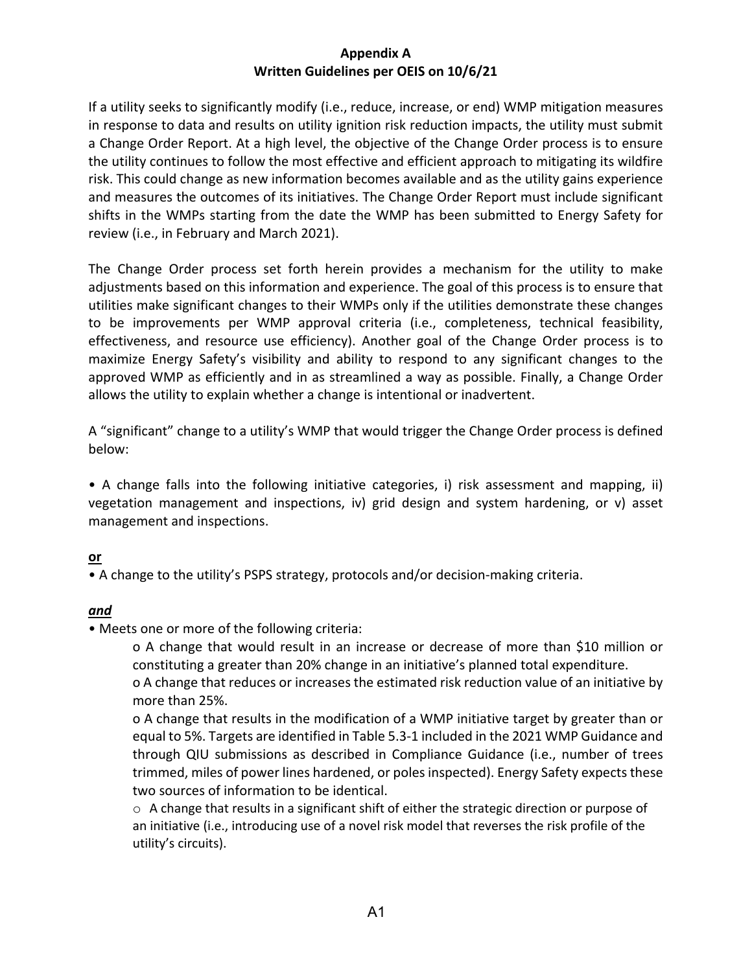#### **Appendix A Written Guidelines per OEIS on 10/6/21**

If a utility seeks to significantly modify (i.e., reduce, increase, or end) WMP mitigation measures in response to data and results on utility ignition risk reduction impacts, the utility must submit a Change Order Report. At a high level, the objective of the Change Order process is to ensure the utility continues to follow the most effective and efficient approach to mitigating its wildfire risk. This could change as new information becomes available and as the utility gains experience and measures the outcomes of its initiatives. The Change Order Report must include significant shifts in the WMPs starting from the date the WMP has been submitted to Energy Safety for review (i.e., in February and March 2021).

The Change Order process set forth herein provides a mechanism for the utility to make adjustments based on this information and experience. The goal of this process is to ensure that utilities make significant changes to their WMPs only if the utilities demonstrate these changes to be improvements per WMP approval criteria (i.e., completeness, technical feasibility, effectiveness, and resource use efficiency). Another goal of the Change Order process is to maximize Energy Safety's visibility and ability to respond to any significant changes to the approved WMP as efficiently and in as streamlined a way as possible. Finally, a Change Order allows the utility to explain whether a change is intentional or inadvertent.

A "significant" change to a utility's WMP that would trigger the Change Order process is defined below:

• A change falls into the following initiative categories, i) risk assessment and mapping, ii) vegetation management and inspections, iv) grid design and system hardening, or v) asset management and inspections.

#### **or**

• A change to the utility's PSPS strategy, protocols and/or decision‐making criteria.

#### *and*

• Meets one or more of the following criteria:

o A change that would result in an increase or decrease of more than \$10 million or constituting a greater than 20% change in an initiative's planned total expenditure. o A change that reduces or increases the estimated risk reduction value of an initiative by more than 25%.

o A change that results in the modification of a WMP initiative target by greater than or equal to 5%. Targets are identified in Table 5.3‐1 included in the 2021 WMP Guidance and through QIU submissions as described in Compliance Guidance (i.e., number of trees trimmed, miles of power lines hardened, or poles inspected). Energy Safety expects these two sources of information to be identical.

 $\circ$  A change that results in a significant shift of either the strategic direction or purpose of an initiative (i.e., introducing use of a novel risk model that reverses the risk profile of the utility's circuits).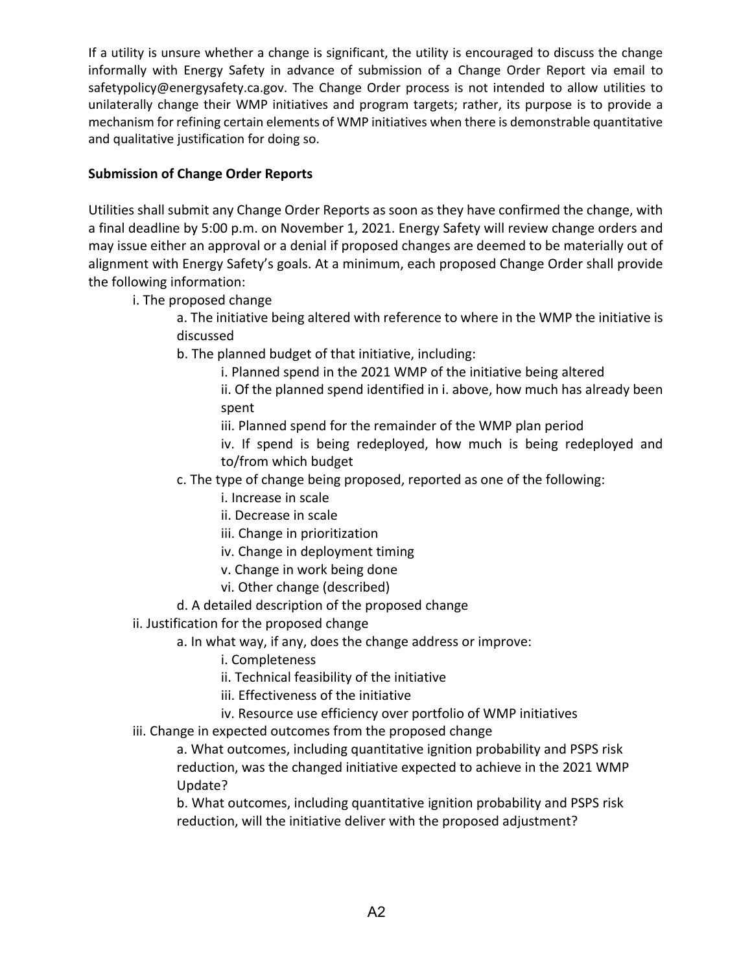If a utility is unsure whether a change is significant, the utility is encouraged to discuss the change informally with Energy Safety in advance of submission of a Change Order Report via email to safetypolicy@energysafety.ca.gov. The Change Order process is not intended to allow utilities to unilaterally change their WMP initiatives and program targets; rather, its purpose is to provide a mechanism for refining certain elements of WMP initiatives when there is demonstrable quantitative and qualitative justification for doing so.

# **Submission of Change Order Reports**

Utilities shall submit any Change Order Reports as soon as they have confirmed the change, with a final deadline by 5:00 p.m. on November 1, 2021. Energy Safety will review change orders and may issue either an approval or a denial if proposed changes are deemed to be materially out of alignment with Energy Safety's goals. At a minimum, each proposed Change Order shall provide the following information:

i. The proposed change

a. The initiative being altered with reference to where in the WMP the initiative is discussed

b. The planned budget of that initiative, including:

i. Planned spend in the 2021 WMP of the initiative being altered

ii. Of the planned spend identified in i. above, how much has already been spent

iii. Planned spend for the remainder of the WMP plan period

iv. If spend is being redeployed, how much is being redeployed and to/from which budget

- c. The type of change being proposed, reported as one of the following:
	- i. Increase in scale
	- ii. Decrease in scale
	- iii. Change in prioritization
	- iv. Change in deployment timing
	- v. Change in work being done
	- vi. Other change (described)

d. A detailed description of the proposed change

# ii. Justification for the proposed change

a. In what way, if any, does the change address or improve:

- i. Completeness
- ii. Technical feasibility of the initiative
- iii. Effectiveness of the initiative
- iv. Resource use efficiency over portfolio of WMP initiatives
- iii. Change in expected outcomes from the proposed change

a. What outcomes, including quantitative ignition probability and PSPS risk reduction, was the changed initiative expected to achieve in the 2021 WMP Update?

b. What outcomes, including quantitative ignition probability and PSPS risk reduction, will the initiative deliver with the proposed adjustment?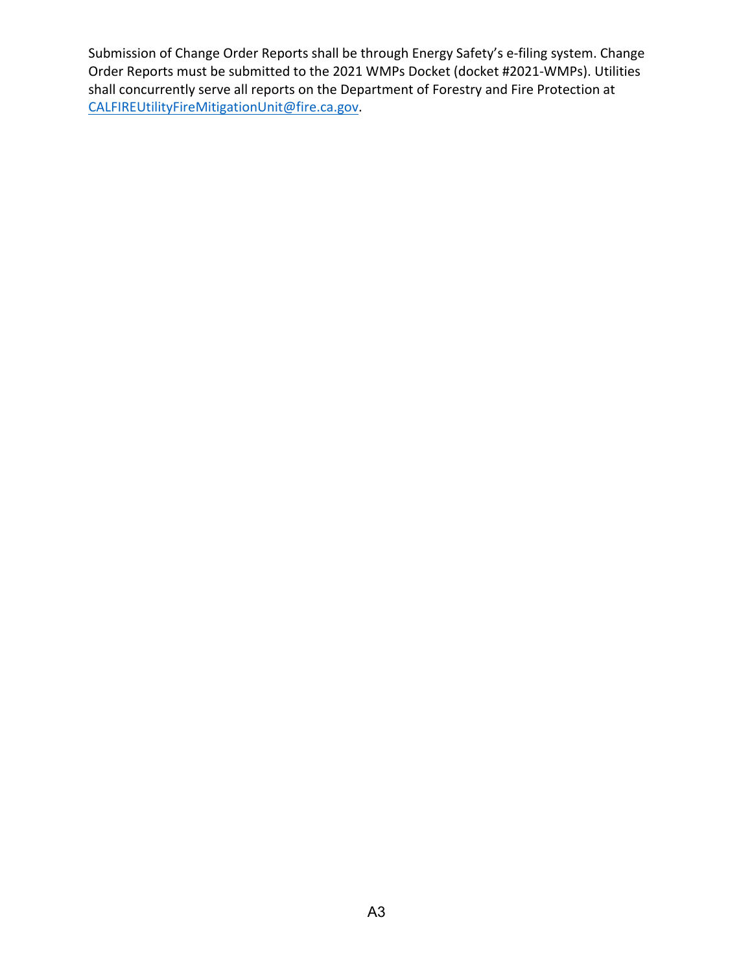Submission of Change Order Reports shall be through Energy Safety's e-filing system. Change Order Reports must be submitted to the 2021 WMPs Docket (docket #2021‐WMPs). Utilities shall concurrently serve all reports on the Department of Forestry and Fire Protection at CALFIREUtilityFireMitigationUnit@fire.ca.gov.